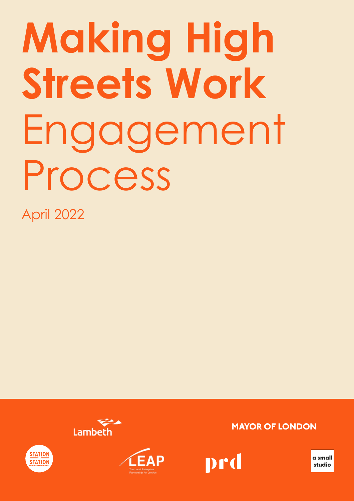# **Making High Streets Work** Engagement Process

April 2022







**MAYOR OF LONDON** 



**a small studio**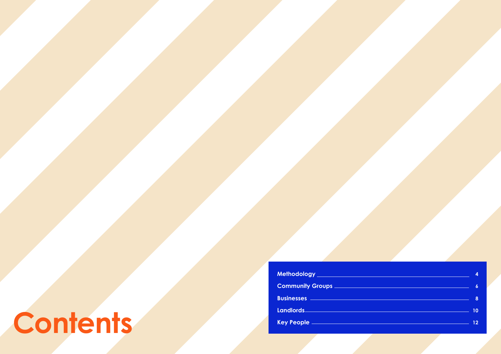**Methodology Community Groups Businesses Landlords Key People** 

## **Contents**

| 4                                                                                                                                                                                                                                         |
|-------------------------------------------------------------------------------------------------------------------------------------------------------------------------------------------------------------------------------------------|
| $\boldsymbol{6}$                                                                                                                                                                                                                          |
| 8<br><u>and the community of the community of the community of the community of the community of the community of the community of the community of the community of the community of the community of the community of the community</u> |
| 10                                                                                                                                                                                                                                        |
| 12                                                                                                                                                                                                                                        |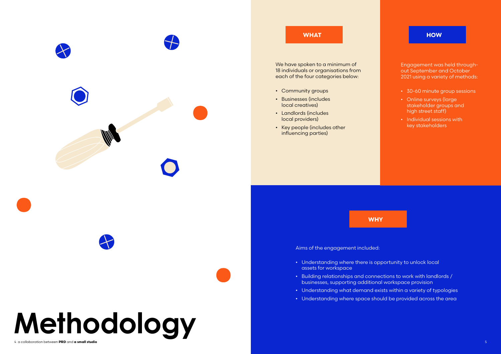

We have spoken to a minimum of 18 individuals or organisations from each of the four categories below:

- Community groups
- Businesses (includes local creatives)
- Landlords (includes local providers)
- Key people (includes other influencing parties)

Aims of the engagement included:





- Understanding where there is opportunity to unlock local assets for workspace
- Building relationships and connections to work with landlords / businesses, supporting additional workspace provision • Understanding what demand exists within a variety of typologies
- 
- Understanding where space should be provided across the area

### **WHAT**

### **WHY**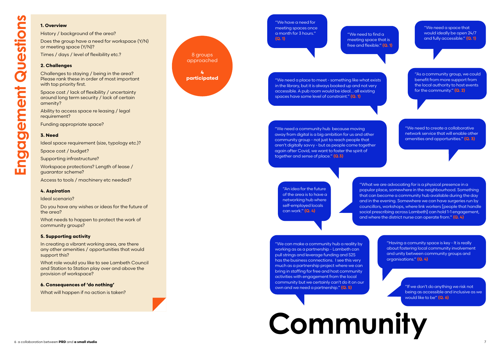**Community**

#### **1. Overview**

History / background of the area?

Challenges to staying / being in the area? Please rank these in order of most important with top priority first.

Does the group have a need for workspace (Y/N) or meeting space (Y/N)?

Times / days / level of flexibility etc.?

#### **2. Challenges**

Ability to access space re leasing / legal requirement?

Space cost / lack of flexibility / uncertainty around long term security / lack of certain amenity?

Funding appropriate space?

### **3. Need**

Ideal space requirement (size, typology etc.)?

Space cost / budget?

Supporting infrastructure?

Workspace protections? Length of lease / guarantor scheme?

Access to tools / machinery etc needed?

#### **4. Aspiration**

Ideal scenario?

Do you have any wishes or ideas for the future of the area?

What needs to happen to protect the work of community groups?

#### **5. Supporting activity**

In creating a vibrant working area, are there any other amenities / opportunities that would support this?

What role would you like to see Lambeth Council and Station to Station play over and above the provision of workspace?

#### **6. Consequences of 'do nothing'**

What will happen if no action is taken?



"An idea for the future of the area is to have a networking hub where self-employed locals can work." **(Q. 4)**

"We need to find a meeting space that is free and flexible." **(Q. 1)**

"We have a need for meeting spaces once a month for 3 hours." **(Q. 1)**

"We need a place to meet - something like what exists in the library, but it is always booked up and not very accessible. A pub room would be ideal… all existing spaces have some level of constraint." **(Q. 1)**

> "Having a comunity space is key - It is really about fostering local community involvement and unity between community groups and organisations." **(Q. 4)**

"What we are advocating for is a physical presence in a popular place, somewhere in the neighbourhood. Something that can become a community hub available during the day and in the evening. Somewhere we can have surgeries run by councillors, workshops, where link workers [people that handle social prescribing across Lambeth] can hold 1-1 engagement, and where the district nurse can operate from." **(Q. 4)**



"We need a community hub because moving away from digital is a big ambition for us and other community group - not just to reach people that aren't digitally savvy - but as people come together again after Covid, we want to foster the spirit of together and sense of place." **(Q.3)**

"We can make a community hub a reality by working as as a partnership - Lambeth can pull strings and leverage funding and S2S has the business connections. I see this very much as a partnership project where we can bring in staffing for free and host community activities with engagement from the local community but we certainly can't do it on our own and we need a partnership." **(Q. 5)**

"If we don't do anything we risk not being as accessible and inclusive as we would like to be" **(Q. 6)**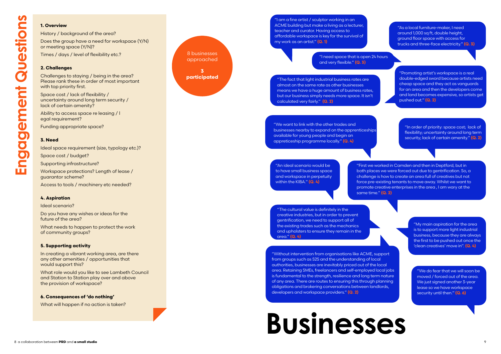## **Businesses**

#### **1. Overview**

History / background of the area? Does the group have a need for workspace (Y/N) or meeting space (Y/N)?

Times / days / level of flexibility etc.?

Ability to access space re leasing / l egal requirement?

### **2. Challenges**

Challenges to staying / being in the area? Please rank these in order of most important with top priority first.

Space cost / lack of flexibility / uncertainty around long term security / lack of certain amenity?

Funding appropriate space?

#### **3. Need**

Ideal space requirement (size, typology etc.)?

Space cost / budget?

Supporting infrastructure?

Workspace protections? Length of lease / guarantor scheme?

Access to tools / machinery etc needed?

#### **4. Aspiration**

Ideal scenario?

Do you have any wishes or ideas for the future of the area?

What needs to happen to protect the work of community groups?

#### **5. Supporting activity**

In creating a vibrant working area, are there any other amenities / opportunities that would support this?

What role would you like to see Lambeth Council and Station to Station play over and above the provision of workspace?

#### **6. Consequences of 'do nothing'**

What will happen if no action is taken?



"I am a fine artist / sculptor working in an ACME building but make a living as a lecturer, teacher and curator. Having access to affordable workspace is key for the survival of my work as an artist." **(Q. 1)**



"First we worked in Camden and then in Deptford, but in both places we were forced out due to gentrification. So, a challenge is how to create an area full of creatives but not force pre-existing tenants to move away. Whilst we want to promote creative enterprises in the area , I am wary at the

same time." **(Q. 2)**

"My main aspiration for the area is to support more light industrial business, because they are always the first to be pushed out once the 'clean creatives' move in". **(Q. 4)**

"We do fear that we will soon be moved / forced out of the area. We just signed another 3-year lease so we have workspace security until then." **(Q. 6)**



"The fact that light industrial business rates are almost on the same rate as other businesses means we have a huge amount of business rates, but our business simply needs more space. It isn't calculated very fairly." **(Q. 2)**

"I need space that is open 24 hours and very flexible." **(Q. 3)**

> "Promoting artist's workspace is a real double-edged sword because artists need cheap space and they act as vanguards for an area and then the developers come and land becomes expensive, so artists get pushed out." **(Q. 2)**

"We want to link with the other trades and businesses nearby to expand on the apprenticeships available for young people and begin an appreticeship programme locally." **(Q. 4)**

"The cultural value is definitely in the creative industries, but in order to prevent gentrification, we need to support all of the existing trades such as the mechanics and upholsters to ensure they remain in the area." **(Q. 4)**

"In order of priority: space cost; lack of flexibility; uncertainty around long term security; lack of certain amenity." **(Q. 2)**

"As a local furniture-maker, I need around 1,000 sq ft, double height, ground floor space with access for trucks and three-face electricity." **(Q. 3)**

"An ideal scenario would be to have small business space and workspace in perpetuity within the KIBA." **(Q. 4)**

"Without intervention from organisations like ACME, support from groups such as S2S and the understanding of local authorities, businesses are inevitably priced out of the local area. Retaining SMEs, freelancers and self-employed local jobs is fundamental to the strength, resilience and long term nature of any area. There are routes to ensuring this through planning obligations and brokering conversations between landlords, developers and workspace providers." **(Q. 2)**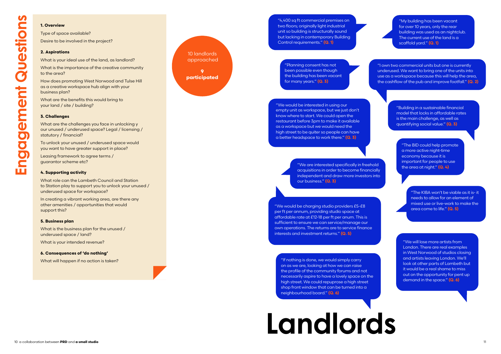## **Landlords**

#### **1. Overview**

Type of space available? Desire to be involved in the project?

#### **2. Aspirations**

What is your ideal use of the land, as landlord?

What is the importance of the creative community to the area?

How does promoting West Norwood and Tulse Hill as a creative workspace hub align with your business plan?

What are the benefits this would bring to your land / site / building?

#### **3. Challenges**

What are the challenges you face in unlocking y our unused / underused space? Legal / licensing / statutory / financial?

To unlock your unused / underused space would you want to have greater support in place?

Leasing framework to agree terms / guarantor scheme etc?

#### **4. Supporting activity**

What role can the Lambeth Council and Station to Station play to support you to unlock your unused / underused space for workspace?

In creating a vibrant working area, are there any other amenities / opportunities that would support this?

#### **5. Business plan**

What is the business plan for the unused / underused space / land?

What is your intended revenue?

#### **6. Consequences of 'do nothing'**

What will happen if no action is taken?

10 landlords approached **9 participated**

"4,400 sq ft commercial premises on two floors; originally light industrial unit so building is structurally sound but lacking in contemporary Building Control requirements." **(Q. 1)**

> "The BID could help promote a more active night-time economy because it is important for people to use the area at night." **(Q. 4)**

> > "The KIBA won't be viable as it is- it needs to allow for an element of mixed use or live-work to make the area come to life." **(Q. 5)**

"We will lose more artists from London. There are real examples in West Norwood of studios closing and artists leaving London. We'll look at other parts of Lambeth but it would be a real shame to miss out on the opportunity for pent up demand in the space." **(Q. 6)**

"Planning consent has not been possible even though the building has been vacant for many years." **(Q. 3)**

> "Building in a sustainable financial model that locks in affordable rates is the main challenge, as well as quantifying social value." **(Q. 3)**

"We are interested specifically in freehold acquisitions in order to become financially independent and draw more investors into our business." **(Q. 3)**

"If nothing is done, we would simply carry on as we are, looking at how we can raise the profile of the community forums and not necessarily aspire to have a lovely space on the high street. We could repuprose a high street shop front window that can be turned into a neighbourhood board." **(Q. 6)**

"My building has been vacant for over 10 years, only the rear building was used as an nightclub. The current use of the land is a scaffold yard." **(Q. 1)** 

"We would be charging studio providers £5-£8 per ft per annum, providing studio space at affordable rate at £12-18 per ft per anum. This is sufficient to ensure we can service/manage our own operations. The returns are to service finance interests and investment returns." **(Q. 5)**

"I own two commercial units but one is currently underused. We want to bring one of the units into use as a workspace because this will help the area, the cashflow of the pub and improve footfall." **(Q. 2)**

"We would be interested in using our empty unit as workspace, but we just don't know where to start. We could open the restaurant before 3pm to make it available as a workspace but we would need the high street to be quiter so people can have a better headspace to work there." **(Q. 3)**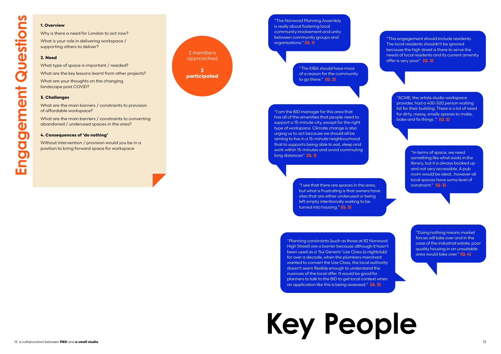**Key People**

#### **1. Overview**

Why is there a need for London to act now? What is your role in delivering workspace / supporting others to deliver?

#### **2. Need**

What type of space is important / needed?

What are the key lessons learnt from other projects?

What are your thoughts on the changing landscape post COVID?

#### **3. Challenges**

What are the main barriers / constraints to provision of affordable workspace?

What are the main barriers / constraints to converting abandoned / underused spaces in the area?

#### **4. Consequences of 'do nothing'**

Without intervention / provision would you be in a position to bring forward space for workspace

2 members approached **2 participated**

"The KIBA should have more of a reason for the community to go there." **(Q. 2)**

"I see that there are spaces in the area, and all constraint." **(Q. 3)** but what is frustrating is that owners have sites that are either underused or being left empty intentionally waiting to be turned into housing." **(Q. 3)**

"This engagement should include residents. The local residents shouldn't be ignored because the high street is there to serve the needs of local residents and its current amenity offer is very poor" **(Q. 2)**

"The Norwood Planning Assembly is really about fostering local community involvement and unity between community groups and organisations." **(Q. 1)**

**12 a collaboration between the small studios of the small studio 13**  $\frac{1}{2}$  **and**  $\frac{1}{2}$  **and**  $\frac{1}{2}$  **and**  $\frac{1}{2}$  **are small studios of the small studio 13**  $\frac{1}{2}$  **and**  $\frac{1}{2}$  **and**  $\frac{1}{2}$  **and**  $\frac{1}{2}$  **and \frac{** "Planning constraints (such as those at 82 Norwood High Street) are a barrier because although it hasn't been used as a 'Sui Generis' Use Class (a nightclub) for over a decade, when the plumbers merchant wanted to convert the Use Class, the local authority doesn't seem flexible enough to understand the nuances of the local offer. It would be good for planners to talk to the BID to get local context when an application like this is being assessed." **(Q. 3)**

"In terms of space, we need something like what exists in the library, but it is always booked up and not very accessible. A pub room would be ideal…however all local spaces have some level of

"ACME, the artists studio workspace provider, had a 400-500 person waiting list for their building. There is a lot of need for dirty, messy, smelly spaces to make, bake and fix things ." **(Q. 2)**

> "Doing nothing means market forces will take over and in the case of the industrial estate, poor quality housing in an unsuitable area would take over." **(Q. 4)**

"I am the BID manager for this area that has all of the amenities that people need to support a 15-minute city, except for the right type of workspace. Climate change is also urging us to act because we should all be aiming to live in a 15-minute neighbourhood that to supports being able to eat, sleep and work within 15-minutes and avoid commuting long distances" **(Q. 1)**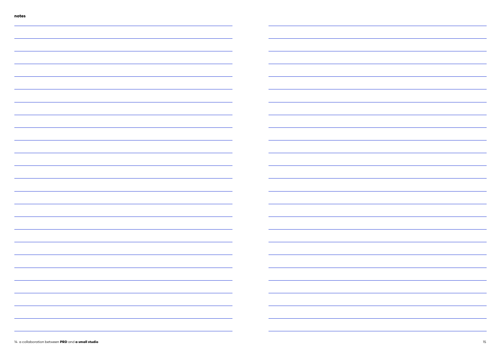| <u> 1989 - Andrea Stadt Britain, amerikansk politik (d. 1989)</u>                                                     |                                                                                                                       |                                                                                                                      |
|-----------------------------------------------------------------------------------------------------------------------|-----------------------------------------------------------------------------------------------------------------------|----------------------------------------------------------------------------------------------------------------------|
|                                                                                                                       |                                                                                                                       |                                                                                                                      |
|                                                                                                                       |                                                                                                                       |                                                                                                                      |
|                                                                                                                       |                                                                                                                       |                                                                                                                      |
|                                                                                                                       |                                                                                                                       |                                                                                                                      |
|                                                                                                                       |                                                                                                                       |                                                                                                                      |
|                                                                                                                       | <u>and the state of the state</u>                                                                                     |                                                                                                                      |
|                                                                                                                       |                                                                                                                       |                                                                                                                      |
|                                                                                                                       |                                                                                                                       |                                                                                                                      |
| <u> 1989 - Johann Barn, amerikan bernama di sebagai pengaran bagi pengaran pengaran pengaran pengaran pengaran p</u>  |                                                                                                                       | <u> 1989 - Johann Barn, amerikan bestemanns og forskellige og det forskellige og det forskellige og det forskell</u> |
|                                                                                                                       | <u>experimental</u> control of the control of the                                                                     |                                                                                                                      |
|                                                                                                                       |                                                                                                                       |                                                                                                                      |
|                                                                                                                       |                                                                                                                       |                                                                                                                      |
|                                                                                                                       |                                                                                                                       |                                                                                                                      |
| <u> 2002 - Jan Lands, amerikansk politiker (d. 1982)</u>                                                              | <u> La Carlo de la Carlo de la Carlo de la Carlo de la Carlo de la Carlo de la Carlo de la Carlo de la Carlo de l</u> |                                                                                                                      |
| <u> 1989 - Andrea Santa Andrea Andrea Andrea Andrea Andrea Andrea Andrea Andrea Andrea Andrea Andrea Andrea Andr</u>  |                                                                                                                       |                                                                                                                      |
| <u> 1988 - Andrea Santa Alemania, amerikan personal dan personal dan personal dan personal dan personal dan perso</u> |                                                                                                                       |                                                                                                                      |
| <del>,一个人的人都是不是一个人的人,</del> 他们的人都是不是一个人的人,但是我们的人都是不是一个人的人,但是我们的人都是不是一个人的人,我们就是我们的人,我们就是我们的人,                          |                                                                                                                       |                                                                                                                      |
| <u> 1989 - Jan Barat, margaret amerikan bahasa dalam bahasa dalam bahasa dalam bahasa dalam bahasa dalam bahasa d</u> |                                                                                                                       |                                                                                                                      |
|                                                                                                                       |                                                                                                                       |                                                                                                                      |
| <u> 2008 - Andrea San Andrea Andrea Andrea Andrea Andrea Andrea Andrea Andrea Andrea Andrea Andrea Andrea Andrea</u>  |                                                                                                                       |                                                                                                                      |
| <u> 1988 - Andrea Santa Alemania, amerikan personal dan personal dan personal dan personal dan personal dan perso</u> |                                                                                                                       |                                                                                                                      |
|                                                                                                                       |                                                                                                                       |                                                                                                                      |